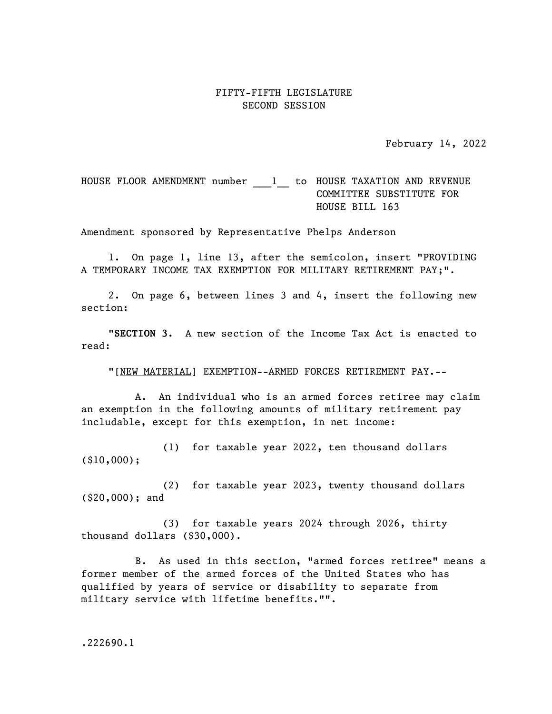## FIFTY-FIFTH LEGISLATURE SECOND SESSION

February 14, 2022

## HOUSE FLOOR AMENDMENT number 1 to HOUSE TAXATION AND REVENUE COMMITTEE SUBSTITUTE FOR HOUSE BILL 163

Amendment sponsored by Representative Phelps Anderson

1. On page 1, line 13, after the semicolon, insert "PROVIDING A TEMPORARY INCOME TAX EXEMPTION FOR MILITARY RETIREMENT PAY;".

2. On page 6, between lines 3 and 4, insert the following new section:

"SECTION 3. A new section of the Income Tax Act is enacted to read:

"[NEW MATERIAL] EXEMPTION--ARMED FORCES RETIREMENT PAY.--

A. An individual who is an armed forces retiree may claim an exemption in the following amounts of military retirement pay includable, except for this exemption, in net income:

(1) for taxable year 2022, ten thousand dollars (\$10,000);

(2) for taxable year 2023, twenty thousand dollars (\$20,000); and

(3) for taxable years 2024 through 2026, thirty thousand dollars (\$30,000).

B. As used in this section, "armed forces retiree" means a former member of the armed forces of the United States who has qualified by years of service or disability to separate from military service with lifetime benefits."".

.222690.1